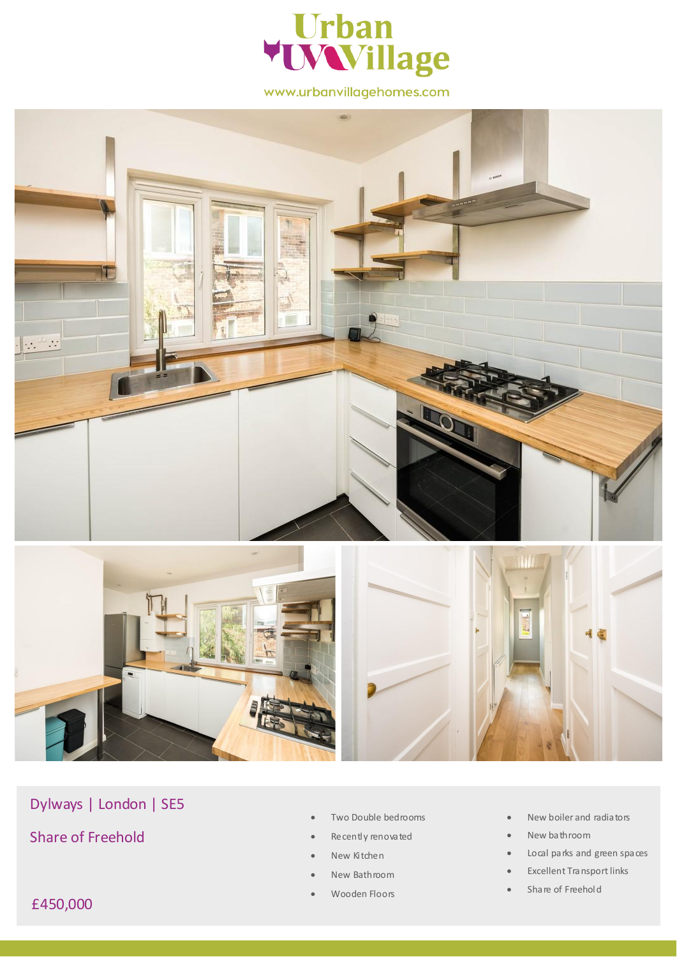

www.urbanvillagehomes.com



Dylways | London | SE5

Share of Freehold

- Two Double bedrooms
- Recently renovated
- New Kitchen
- New Bathroom
- Wooden Floors
- New boiler and radiators
- New bathroom
- Local parks and green spaces
- Excellent Transport links
- Share of Freehold

£450,000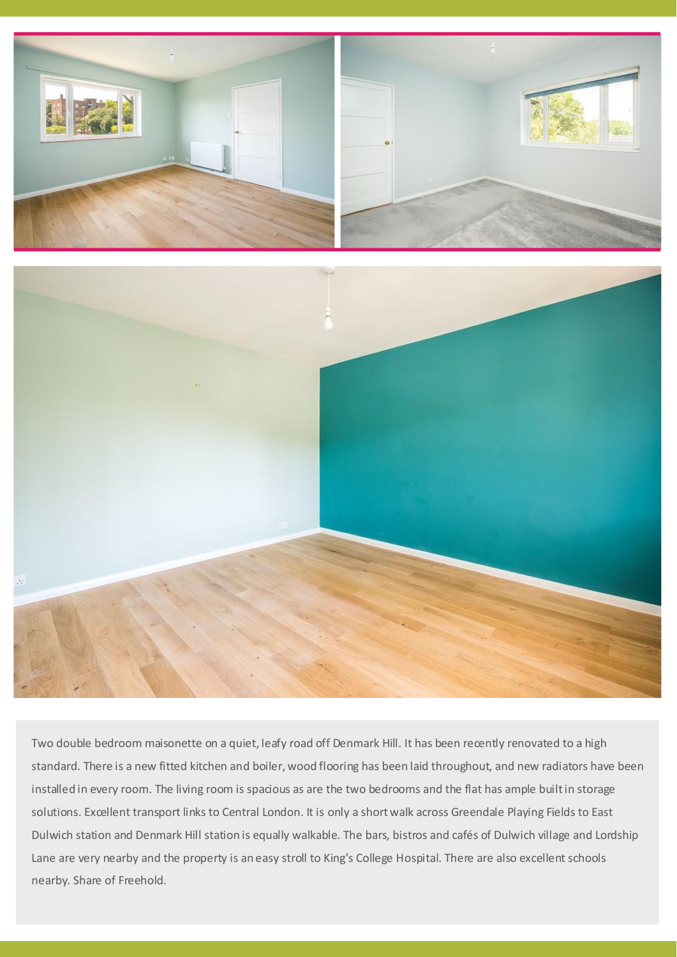



Two double bedroom maisonette on a quiet, leafy road off Denmark Hill. It has been recently renovated to a high standard. There is a new fitted kitchen and boiler, wood flooring has been laid throughout, and new radiators have been installed in every room. The living room is spacious as are the two bedrooms and the flat has ample built in storage solutions. Excellent transport links to Central London. It is only a short walk across Greendale Playing Fields to East Dulwich station and Denmark Hill station is equally walkable. The bars, bistros and cafés of Dulwich village and Lordship Lane are very nearby and the property is an easy stroll to King's College Hospital. There are also excellent schools nearby. Share of Freehold.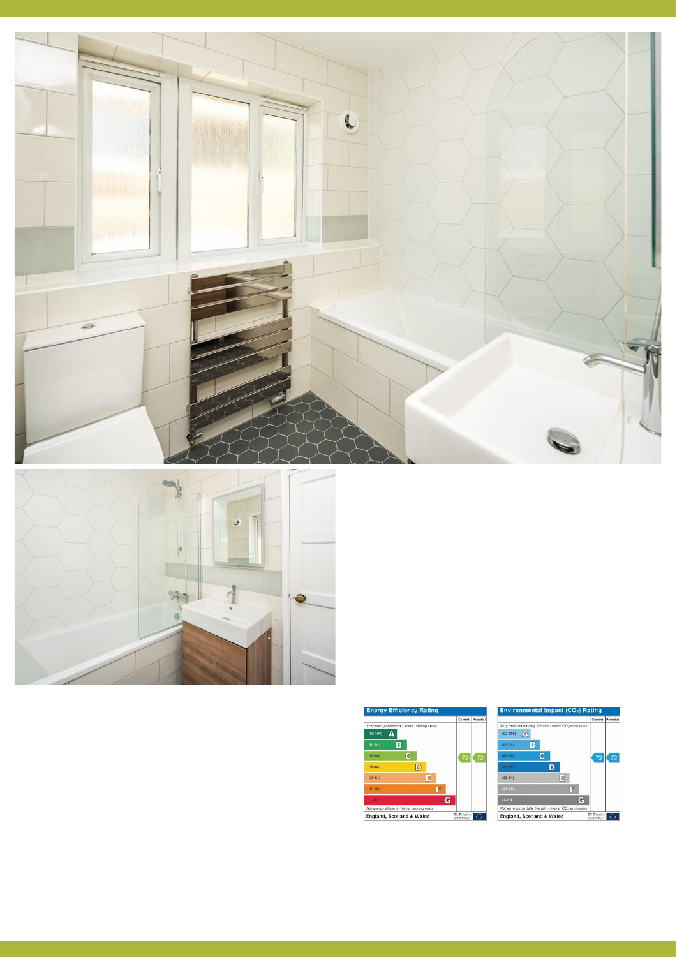